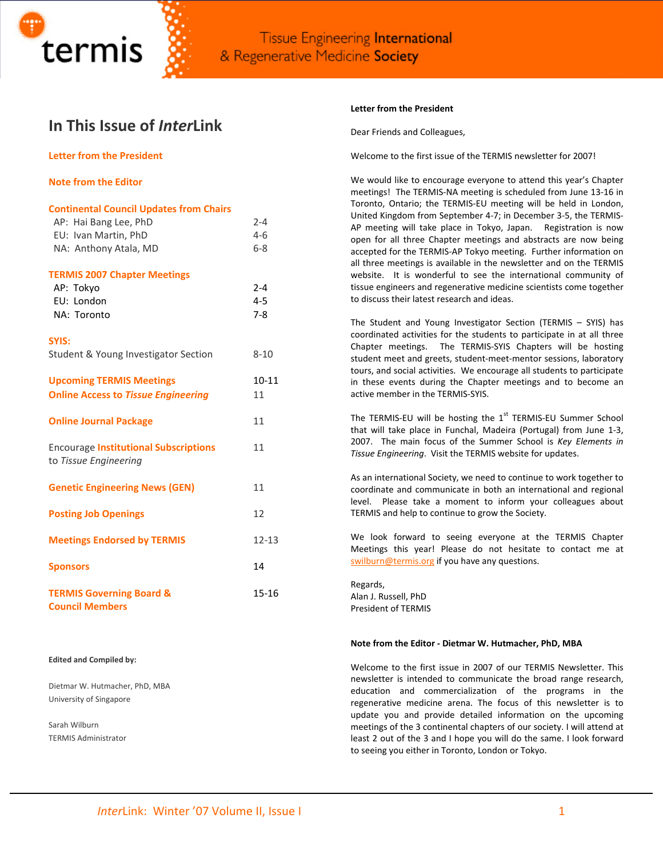

# **In This Issue of** *Inter***Link**

# **Letter from the President**

## **Note from the Editor**

| <b>Continental Council Updates from Chairs</b>                        |           |
|-----------------------------------------------------------------------|-----------|
| AP: Hai Bang Lee, PhD                                                 | $2 - 4$   |
| EU: Ivan Martin, PhD                                                  | $4 - 6$   |
| NA: Anthony Atala, MD                                                 | $6 - 8$   |
| <b>TERMIS 2007 Chapter Meetings</b>                                   |           |
| AP: Tokyo                                                             | $2 - 4$   |
| EU: London                                                            | $4 - 5$   |
| NA: Toronto                                                           | $7 - 8$   |
| SYIS:                                                                 |           |
| Student & Young Investigator Section                                  | $8 - 10$  |
| <b>Upcoming TERMIS Meetings</b>                                       | $10 - 11$ |
| <b>Online Access to Tissue Engineering</b>                            | 11        |
| <b>Online Journal Package</b>                                         | 11        |
| <b>Encourage Institutional Subscriptions</b><br>to Tissue Engineering | 11        |
| <b>Genetic Engineering News (GEN)</b>                                 | 11        |
| <b>Posting Job Openings</b>                                           | 12        |
| <b>Meetings Endorsed by TERMIS</b>                                    | $12 - 13$ |
| <b>Sponsors</b>                                                       | 14        |
| <b>TERMIS Governing Board &amp;</b><br><b>Council Members</b>         | 15-16     |

#### **Edited and Compiled by:**

Dietmar W. Hutmacher, PhD, MBA University of Singapore

Sarah Wilburn TERMIS Administrator

#### **Letter from the President**

Dear Friends and Colleagues,

Welcome to the first issue of the TERMIS newsletter for 2007!

We would like to encourage everyone to attend this year's Chapter meetings! The TERMIS‐NA meeting is scheduled from June 13‐16 in Toronto, Ontario; the TERMIS‐EU meeting will be held in London, United Kingdom from September 4‐7; in December 3‐5, the TERMIS‐ AP meeting will take place in Tokyo, Japan. Registration is now open for all three Chapter meetings and abstracts are now being accepted for the TERMIS‐AP Tokyo meeting. Further information on all three meetings is available in the newsletter and on the TERMIS website. It is wonderful to see the international community of tissue engineers and regenerative medicine scientists come together to discuss their latest research and ideas.

The Student and Young Investigator Section (TERMIS – SYIS) has coordinated activities for the students to participate in at all three Chapter meetings. The TERMIS‐SYIS Chapters will be hosting student meet and greets, student‐meet‐mentor sessions, laboratory tours, and social activities. We encourage all students to participate in these events during the Chapter meetings and to become an active member in the TERMIS‐SYIS.

The TERMIS-EU will be hosting the 1<sup>st</sup> TERMIS-EU Summer School that will take place in Funchal, Madeira (Portugal) from June 1‐3, 2007. The main focus of the Summer School is *Key Elements in Tissue Engineering*. Visit the TERMIS website for updates.

As an international Society, we need to continue to work together to coordinate and communicate in both an international and regional level. Please take a moment to inform your colleagues about TERMIS and help to continue to grow the Society.

We look forward to seeing everyone at the TERMIS Chapter Meetings this year! Please do not hesitate to contact me at [swilburn@termis.org](mailto:swilburn@termis.org) if you have any questions.

Regards, Alan J. Russell, PhD President of TERMIS

#### **Note from the Editor ‐ Dietmar W. Hutmacher, PhD, MBA**

Welcome to the first issue in 2007 of our TERMIS Newsletter. This newsletter is intended to communicate the broad range research, education and commercialization of the programs in the regenerative medicine arena. The focus of this newsletter is to update you and provide detailed information on the upcoming meetings of the 3 continental chapters of our society. I will attend at least 2 out of the 3 and I hope you will do the same. I look forward to seeing you either in Toronto, London or Tokyo.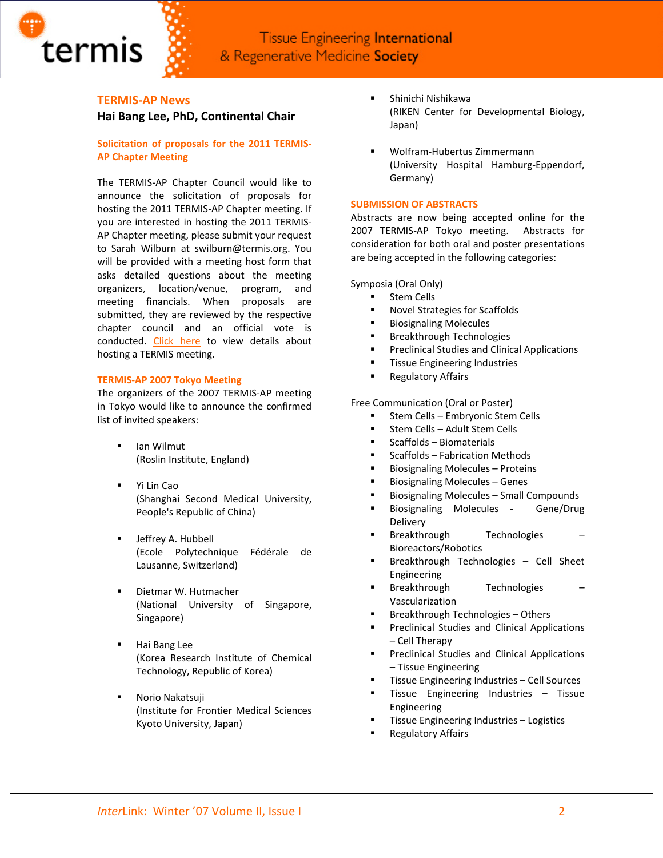

# **TERMIS‐AP News Hai Bang Lee, PhD, Continental Chair**

termis

# **Solicitation of proposals for the 2011 TERMIS‐ AP Chapter Meeting**

The TERMIS‐AP Chapter Council would like to announce the solicitation of proposals for hosting the 2011 TERMIS‐AP Chapter meeting. If you are interested in hosting the 2011 TERMIS‐ AP Chapter meeting, please submit your request to Sarah Wilburn at swilburn@termis.org. You will be provided with a meeting host form that asks detailed questions about the meeting organizers, location/venue, program, and meeting financials. When proposals are submitted, they are reviewed by the respective chapter council and an official vote is conducted. Click [here](http://www.termis.org/meeting_host.php) to view details about hosting a TERMIS meeting.

#### **TERMIS‐AP 2007 Tokyo Meeting**

The organizers of the 2007 TERMIS‐AP meeting in Tokyo would like to announce the confirmed list of invited speakers:

- Ian Wilmut (Roslin Institute, England)
- Yi Lin Cao (Shanghai Second Medical University, People's Republic of China)
- Jeffrey A. Hubbell (Ecole Polytechnique Fédérale de Lausanne, Switzerland)
- **Dietmar W. Hutmacher** (National University of Singapore, Singapore)
- Hai Bang Lee (Korea Research Institute of Chemical Technology, Republic of Korea)
- Norio Nakatsuji (Institute for Frontier Medical Sciences Kyoto University, Japan)
- Shinichi Nishikawa (RIKEN Center for Developmental Biology, Japan)
- Wolfram‐Hubertus Zimmermann (University Hospital Hamburg‐Eppendorf, Germany)

### **SUBMISSION OF ABSTRACTS**

Abstracts are now being accepted online for the 2007 TERMIS-AP Tokyo meeting. Abstracts for consideration for both oral and poster presentations are being accepted in the following categories:

#### Symposia (Oral Only)

- **Stem Cells**
- Novel Strategies for Scaffolds
- **Biosignaling Molecules**
- **Breakthrough Technologies**
- Preclinical Studies and Clinical Applications
- **Tissue Engineering Industries**
- **Regulatory Affairs**

Free Communication (Oral or Poster)

- **EXECTED 5 Embryonic Stem Cells**
- Stem Cells Adult Stem Cells
- $S$ Caffolds Biomaterials
- Scaffolds Fabrication Methods
- Biosignaling Molecules Proteins
- **Biosignaling Molecules Genes**
- Biosignaling Molecules Small Compounds
- Biosignaling Molecules Gene/Drug Delivery
- **Breakthrough Technologies** Bioreactors/Robotics
- Breakthrough Technologies Cell Sheet Engineering
- **Breakthrough Technologies** Vascularization
- Breakthrough Technologies Others
- **Preclinical Studies and Clinical Applications** – Cell Therapy
- **Preclinical Studies and Clinical Applications** – Tissue Engineering
- **Tissue Engineering Industries Cell Sources**
- **Tissue Engineering Industries Tissue** Engineering
- Tissue Engineering Industries Logistics
- Regulatory Affairs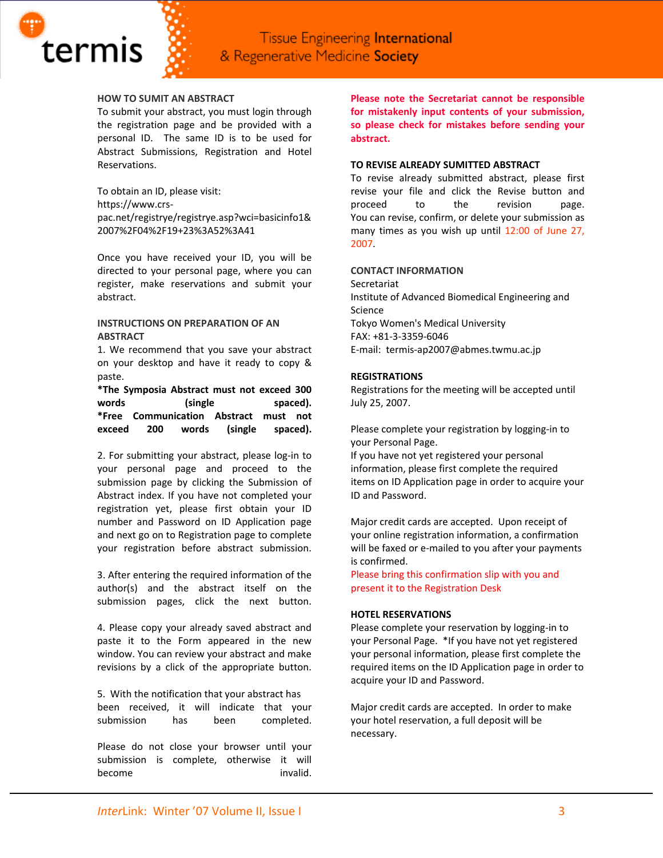#### **HOW TO SUMIT AN ABSTRACT**

termis

To submit your abstract, you must login through the registration page and be provided with a personal ID. The same ID is to be used for Abstract Submissions, Registration and Hotel Reservations.

To obtain an ID, please visit: https://www.crs‐ pac.net/registrye/registrye.asp?wci=basicinfo1& 2007%2F04%2F19+23%3A52%3A41

Once you have received your ID, you will be directed to your personal page, where you can register, make reservations and submit your abstract.

# **INSTRUCTIONS ON PREPARATION OF AN ABSTRACT**

1. We recommend that you save your abstract on your desktop and have it ready to copy & paste.

**\*The Symposia Abstract must not exceed 300 words (single spaced). \*Free Communication Abstract must not exceed 200 words (single spaced).**

2. For submitting your abstract, please log‐in to your personal page and proceed to the submission page by clicking the Submission of Abstract index. If you have not completed your registration yet, please first obtain your ID number and Password on ID Application page and next go on to Registration page to complete your registration before abstract submission.

3. After entering the required information of the author(s) and the abstract itself on the submission pages, click the next button.

4. Please copy your already saved abstract and paste it to the Form appeared in the new window. You can review your abstract and make revisions by a click of the appropriate button.

5. With the notification that your abstract has been received, it will indicate that your submission has been completed.

Please do not close your browser until your submission is complete, otherwise it will become invalid. **Please note the Secretariat cannot be responsible for mistakenly input contents of your submission, so please check for mistakes before sending your abstract.**

#### **TO REVISE ALREADY SUMITTED ABSTRACT**

To revise already submitted abstract, please first revise your file and click the Revise button and proceed to the revision page. You can revise, confirm, or delete your submission as many times as you wish up until 12:00 of June 27, 2007.

## **CONTACT INFORMATION**

Secretariat Institute of Advanced Biomedical Engineering and Science Tokyo Women's Medical University FAX: +81‐3‐3359‐6046 E‐mail: termis‐ap2007@abmes.twmu.ac.jp

#### **REGISTRATIONS**

Registrations for the meeting will be accepted until July 25, 2007.

Please complete your registration by logging‐in to your Personal Page.

If you have not yet registered your personal information, please first complete the required items on ID Application page in order to acquire your ID and Password.

Major credit cards are accepted. Upon receipt of your online registration information, a confirmation will be faxed or e-mailed to you after your payments is confirmed.

Please bring this confirmation slip with you and present it to the Registration Desk

#### **HOTEL RESERVATIONS**

Please complete your reservation by logging‐in to your Personal Page. \*If you have not yet registered your personal information, please first complete the required items on the ID Application page in order to acquire your ID and Password.

Major credit cards are accepted. In order to make your hotel reservation, a full deposit will be necessary.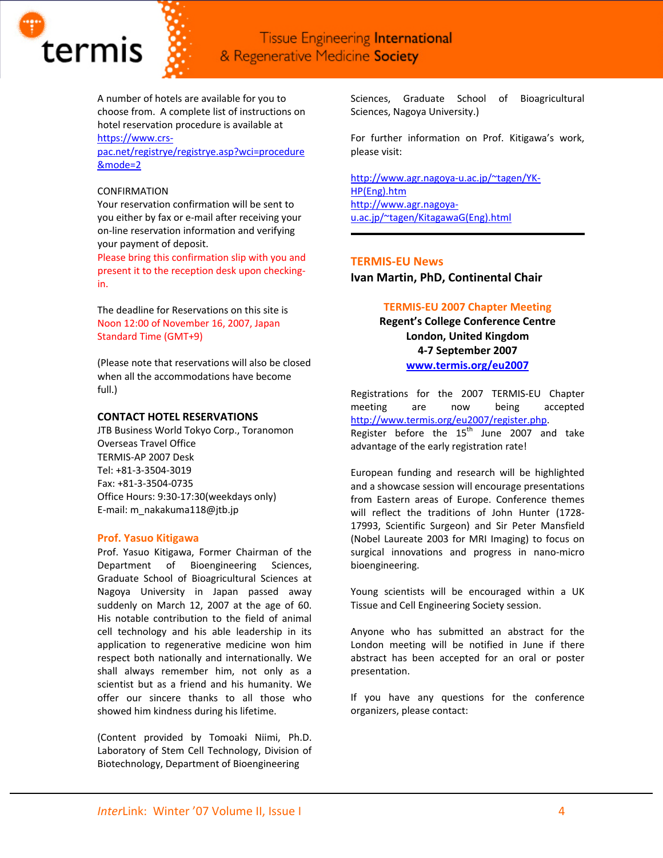

A number of hotels are available for you to choose from. A complete list of instructions on hotel reservation procedure is available at

# [https://www.crs](https://www.crs-pac.net/registrye/registrye.asp?wci=procedure&mode=2)‐

[pac.net/registrye/registrye.asp?wci=procedure](https://www.crs-pac.net/registrye/registrye.asp?wci=procedure&mode=2) [&mode=2](https://www.crs-pac.net/registrye/registrye.asp?wci=procedure&mode=2)

#### CONFIRMATION

Your reservation confirmation will be sent to you either by fax or e‐mail after receiving your on‐line reservation information and verifying your payment of deposit.

Please bring this confirmation slip with you and present it to the reception desk upon checking‐  $in.$ 

The deadline for Reservations on this site is Noon 12:00 of November 16, 2007, Japan Standard Time (GMT+9)

(Please note that reservations will also be closed when all the accommodations have become full.)

## **CONTACT HOTEL RESERVATIONS**

JTB Business World Tokyo Corp., Toranomon Overseas Travel Office TERMIS‐AP 2007 Desk Tel: +81‐3‐3504‐3019 Fax: +81‐3‐3504‐0735 Office Hours: 9:30‐17:30(weekdays only) E-mail: m\_nakakuma118@jtb.jp

## **Prof. Yasuo Kitigawa**

Prof. Yasuo Kitigawa, Former Chairman of the Department of Bioengineering Sciences, Graduate School of Bioagricultural Sciences at Nagoya University in Japan passed away suddenly on March 12, 2007 at the age of 60. His notable contribution to the field of animal cell technology and his able leadership in its application to regenerative medicine won him respect both nationally and internationally. We shall always remember him, not only as a scientist but as a friend and his humanity. We offer our sincere thanks to all those who showed him kindness during his lifetime.

(Content provided by Tomoaki Niimi, Ph.D. Laboratory of Stem Cell Technology, Division of Biotechnology, Department of Bioengineering

Sciences, Graduate School of Bioagricultural Sciences, Nagoya University.)

For further information on Prof. Kitigawa's work, please visit:

[http://www.agr.nagoya](http://www.agr.nagoya-u.ac.jp/%7Etagen/YK-HP(Eng).htm)‐u.ac.jp/~tagen/YK‐ [HP\(Eng\).htm](http://www.agr.nagoya-u.ac.jp/%7Etagen/YK-HP(Eng).htm) [http://www.agr.nagoya](http://www.agr.nagoya-u.ac.jp/%7Etagen/KitagawaG(Eng).html)‐ [u.ac.jp/~tagen/KitagawaG\(Eng\).html](http://www.agr.nagoya-u.ac.jp/%7Etagen/KitagawaG(Eng).html)

# **TERMIS‐EU News**

**Ivan Martin, PhD, Continental Chair**

# **TERMIS‐EU 2007 Chapter Meeting**

**Regent's College Conference Centre London, United Kingdom 4‐7 September 2007 [www.termis.org/eu2007](http://www.termis.org/eu2007)**

Registrations for the 2007 TERMIS‐EU Chapter meeting are now being accepted <http://www.termis.org/eu2007/register.php>. Register before the  $15<sup>th</sup>$  June 2007 and take

advantage of the early registration rate!

European funding and research will be highlighted and a showcase session will encourage presentations from Eastern areas of Europe. Conference themes will reflect the traditions of John Hunter (1728-17993, Scientific Surgeon) and Sir Peter Mansfield (Nobel Laureate 2003 for MRI Imaging) to focus on surgical innovations and progress in nano‐micro bioengineering.

Young scientists will be encouraged within a UK Tissue and Cell Engineering Society session.

Anyone who has submitted an abstract for the London meeting will be notified in June if there abstract has been accepted for an oral or poster presentation.

If you have any questions for the conference organizers, please contact: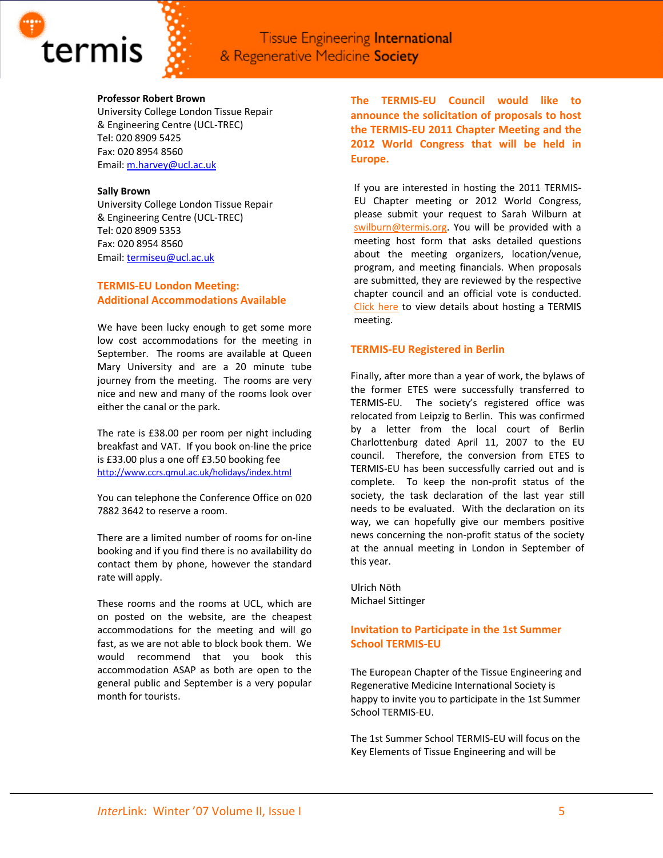

## **Professor Robert Brown**

University College London Tissue Repair & Engineering Centre (UCL‐TREC) Tel: 020 8909 5425 Fax: 020 8954 8560 Email: [m.harvey@ucl.ac.uk](mailto:m.harvey@ucl.ac.uk)

## **Sally Brown**

University College London Tissue Repair & Engineering Centre (UCL‐TREC) Tel: 020 8909 5353 Fax: 020 8954 8560 Email: [termiseu@ucl.ac.uk](mailto:termiseu@ucl.ac.uk)

# **TERMIS‐EU London Meeting: Additional Accommodations Available**

We have been lucky enough to get some more low cost accommodations for the meeting in September. The rooms are available at Queen Mary University and are a 20 minute tube journey from the meeting. The rooms are very nice and new and many of the rooms look over either the canal or the park.

The rate is £38.00 per room per night including breakfast and VAT. If you book on‐line the price is £33.00 plus a one off £3.50 booking fee <http://www.ccrs.qmul.ac.uk/holidays/index.html>

You can telephone the Conference Office on 020 7882 3642 to reserve a room.

There are a limited number of rooms for on‐line booking and if you find there is no availability do contact them by phone, however the standard rate will apply.

These rooms and the rooms at UCL, which are on posted on the website, are the cheapest accommodations for the meeting and will go fast, as we are not able to block book them. We would recommend that you book this accommodation ASAP as both are open to the general public and September is a very popular month for tourists.

**The TERMIS‐EU Council would like to announce the solicitation of proposals to host the TERMIS‐EU 2011 Chapter Meeting and the 2012 World Congress that will be held in Europe.**

If you are interested in hosting the 2011 TERMIS‐ EU Chapter meeting or 2012 World Congress, please submit your request to Sarah Wilburn at [swilburn@termis.org.](mailto:swilburn@termis.org) You will be provided with a meeting host form that asks detailed questions about the meeting organizers, location/venue, program, and meeting financials. When proposals are submitted, they are reviewed by the respective chapter council and an official vote is conducted. [Click](http://www.termis.org/meeting_host.php) here to view details about hosting a TERMIS meeting.

# **TERMIS‐EU Registered in Berlin**

Finally, after more than a year of work, the bylaws of the former ETES were successfully transferred to TERMIS-EU. The society's registered office was relocated from Leipzig to Berlin. This was confirmed by a letter from the local court of Berlin Charlottenburg dated April 11, 2007 to the EU council. Therefore, the conversion from ETES to TERMIS‐EU has been successfully carried out and is complete. To keep the non-profit status of the society, the task declaration of the last year still needs to be evaluated. With the declaration on its way, we can hopefully give our members positive news concerning the non‐profit status of the society at the annual meeting in London in September of this year.

Ulrich Nöth Michael Sittinger

# **Invitation to Participate in the 1st Summer School TERMIS‐EU**

The European Chapter of the Tissue Engineering and Regenerative Medicine International Society is happy to invite you to participate in the 1st Summer School TERMIS‐EU.

The 1st Summer School TERMIS‐EU will focus on the Key Elements of Tissue Engineering and will be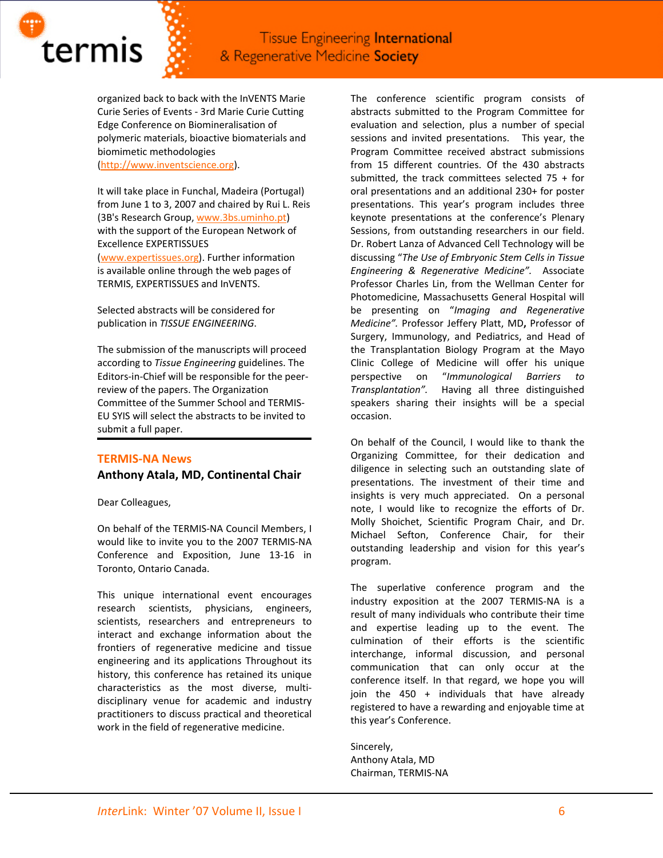

organized back to back with the InVENTS Marie Curie Series of Events ‐ 3rd Marie Curie Cutting Edge Conference on Biomineralisation of polymeric materials, bioactive biomaterials and biomimetic methodologies [\(http://www.inventscience.org](http://www.inventscience.org/)).

It will take place in Funchal, Madeira (Portugal) from June 1 to 3, 2007 and chaired by Rui L. Reis (3B's Research Group, [www.3bs.uminho.pt\)](http://www.3bs.uminho.pt/) with the support of the European Network of Excellence EXPERTISSUES [\(www.expertissues.org\)](http://www.expertissues.org/). Further information is available online through the web pages of TERMIS, EXPERTISSUES and InVENTS.

Selected abstracts will be considered for publication in *TISSUE ENGINEERING*.

The submission of the manuscripts will proceed according to *Tissue Engineering* guidelines. The Editors‐in‐Chief will be responsible for the peer‐ review of the papers. The Organization Committee of the Summer School and TERMIS‐ EU SYIS will select the abstracts to be invited to submit a full paper.

# **TERMIS‐NA News Anthony Atala, MD, Continental Chair**

Dear Colleagues,

On behalf of the TERMIS‐NA Council Members, I would like to invite you to the 2007 TERMIS‐NA Conference and Exposition, June 13‐16 in Toronto, Ontario Canada.

This unique international event encourages research scientists, physicians, engineers, scientists, researchers and entrepreneurs to interact and exchange information about the frontiers of regenerative medicine and tissue engineering and its applications Throughout its history, this conference has retained its unique characteristics as the most diverse, multi‐ disciplinary venue for academic and industry practitioners to discuss practical and theoretical work in the field of regenerative medicine.

The conference scientific program consists of abstracts submitted to the Program Committee for evaluation and selection, plus a number of special sessions and invited presentations. This year, the Program Committee received abstract submissions from 15 different countries. Of the 430 abstracts submitted, the track committees selected 75 + for oral presentations and an additional 230+ for poster presentations. This year's program includes three keynote presentations at the conference's Plenary Sessions, from outstanding researchers in our field. Dr. Robert Lanza of Advanced Cell Technology will be discussing "*The Use of Embryonic Stem Cells in Tissue Engineering & Regenerative Medicine".*  Associate Professor Charles Lin, from the Wellman Center for Photomedicine, Massachusetts General Hospital will be presenting on "*Imaging and Regenerative Medicine".* Professor Jeffery Platt, MD**,** Professor of Surgery, Immunology, and Pediatrics, and Head of the Transplantation Biology Program at the Mayo Clinic College of Medicine will offer his unique perspective on "*Immunological Barriers to* **Transplantation".** Having all three distinguished speakers sharing their insights will be a special occasion.

On behalf of the Council, I would like to thank the Organizing Committee, for their dedication and diligence in selecting such an outstanding slate of presentations. The investment of their time and insights is very much appreciated. On a personal note, I would like to recognize the efforts of Dr. Molly Shoichet, Scientific Program Chair, and Dr. Michael Sefton, Conference Chair, for their outstanding leadership and vision for this year's program.

The superlative conference program and the industry exposition at the 2007 TERMIS‐NA is a result of many individuals who contribute their time and expertise leading up to the event. The culmination of their efforts is the scientific interchange, informal discussion, and personal communication that can only occur at the conference itself. In that regard, we hope you will join the 450 + individuals that have already registered to have a rewarding and enjoyable time at this year's Conference.

Sincerely, Anthony Atala, MD Chairman, TERMIS‐NA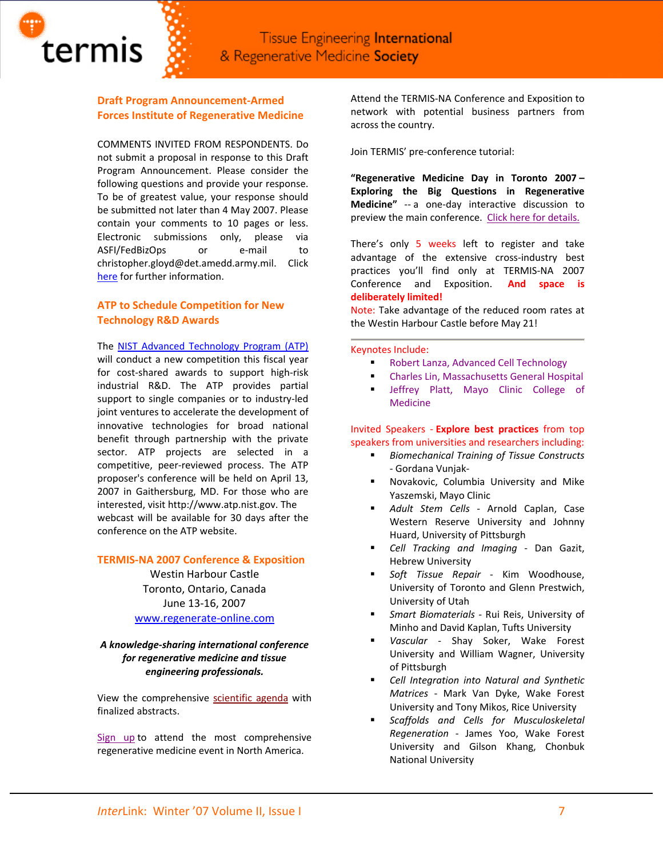

# **Draft Program Announcement‐Armed Forces Institute of Regenerative Medicine**

termis

COMMENTS INVITED FROM RESPONDENTS. Do not submit a proposal in response to this Draft Program Announcement. Please consider the following questions and provide your response. To be of greatest value, your response should be submitted not later than 4 May 2007. Please contain your comments to 10 pages or less. Electronic submissions only, please via ASFI/FedBizOps or e‐mail to christopher.gloyd@det.amedd.army.mil. Click [here](http://www.termis.org/docs/AFIRM_draftAnnouncement_20070419.pdf) for further information.

# **ATP to Schedule Competition for New Technology R&D Awards**

The NIST Advanced [Technology](http://www.nist.gov/public_affairs/releases/atp2007.html) Program (ATP)

will conduct a new competition this fiscal year for cost-shared awards to support high-risk industrial R&D. The ATP provides partial support to single companies or to industry-led joint ventures to accelerate the development of innovative technologies for broad national benefit through partnership with the private sector. ATP projects are selected in a competitive, peer‐reviewed process. The ATP proposer's conference will be held on April 13, 2007 in Gaithersburg, MD. For those who are interested, visit http://www.atp.nist.gov. The webcast will be available for 30 days after the conference on the ATP website.

# **TERMIS‐NA 2007 Conference & Exposition**

Westin Harbour Castle Toronto, Ontario, Canada June 13‐16, 2007 [www.regenerate](http://www.regenerate-online.com/)‐online.com

# *A knowledge‐sharing international conference for regenerative medicine and tissue engineering professionals.*

View the comprehensive [scientific](http://www.regenerate-online.com/agenda_wed.php) agenda with finalized abstracts.

[Sign](http://www.regonline.com/Checkin.asp?EventId=109122) up to attend the most comprehensive regenerative medicine event in North America.

Attend the TERMIS‐NA Conference and Exposition to network with potential business partners from across the country.

Join TERMIS' pre‐conference tutorial:

**"Regenerative Medicine Day in Toronto 2007 – Exploring the Big Questions in Regenerative Medicine"** -- a one-day interactive discussion to preview the main conference. Click here for [details.](http://www.regenerate-online.com/sessions/regmedday.php)

There's only 5 weeks left to register and take advantage of the extensive cross-industry best practices you'll find only at TERMIS‐NA 2007 Conference and Exposition. **And space is deliberately limited!**

Note: Take advantage of the reduced room rates at the Westin Harbour Castle before May 21!

#### Keynotes Include:

- **Robert Lanza, Advanced Cell Technology**
- Charles Lin, Massachusetts General Hospital
- Jeffrey Platt, Mayo Clinic College of Medicine

Invited Speakers ‐ **Explore best practices** from top speakers from universities and researchers including:

- *Biomechanical Training of Tissue Constructs* ‐ Gordana Vunjak‐
- Novakovic, Columbia University and Mike Yaszemski, Mayo Clinic
- *Adult Stem Cells* ‐ Arnold Caplan, Case Western Reserve University and Johnny Huard, University of Pittsburgh
- *Cell Tracking and Imaging* ‐ Dan Gazit, Hebrew University
- *Soft Tissue Repair* ‐ Kim Woodhouse, University of Toronto and Glenn Prestwich, University of Utah
- *Smart Biomaterials* ‐ Rui Reis, University of Minho and David Kaplan, Tufts University
- *Vascular* ‐ Shay Soker, Wake Forest University and William Wagner, University of Pittsburgh
- *Cell Integration into Natural and Synthetic Matrices* ‐ Mark Van Dyke, Wake Forest University and Tony Mikos, Rice University
- *Scaffolds and Cells for Musculoskeletal Regeneration* ‐ James Yoo, Wake Forest University and Gilson Khang, Chonbuk National University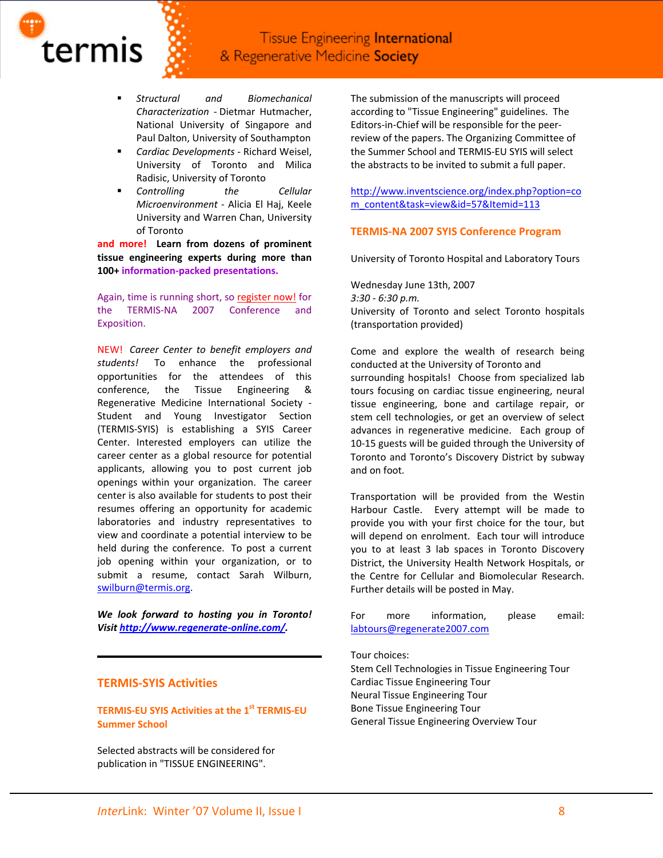

 *Structural and Biomechanical Characterization* ‐ Dietmar Hutmacher, National University of Singapore and Paul Dalton, University of Southampton

termis

- *Cardiac Developments* ‐ Richard Weisel, University of Toronto and Milica Radisic, University of Toronto
- *Controlling the Cellular Microenvironment* ‐ Alicia El Haj, Keele University and Warren Chan, University of Toronto

**and more! Learn from dozens of prominent tissue engineering experts during more than 100+ information‐packed presentations.**

Again, time is running short, so [register](http://www.regonline.com/Checkin.asp?EventId=109122) now! for the TERMIS‐NA 2007 Conference and Exposition.

NEW! *Career Center to benefit employers and students!*  To enhance the professional opportunities for the attendees of this conference, the Tissue Engineering & Regenerative Medicine International Society ‐ Student and Young Investigator Section (TERMIS‐SYIS) is establishing a SYIS Career Center. Interested employers can utilize the career center as a global resource for potential applicants, allowing you to post current job openings within your organization. The career center is also available for students to post their resumes offering an opportunity for academic laboratories and industry representatives to view and coordinate a potential interview to be held during the conference. To post a current job opening within your organization, or to submit a resume, contact Sarah Wilburn, [swilburn@termis.org.](mailto:swilburn@termis.org)

*We look forward to hosting you in Toronto! Visit [http://www.regenerate](http://www.regenerate-online.com/)‐online.com/.*

#### **TERMIS‐SYIS Activities**

**TERMIS‐EU SYIS Activities at the 1st TERMIS‐EU Summer School**

Selected abstracts will be considered for publication in "TISSUE ENGINEERING".

The submission of the manuscripts will proceed according to "Tissue Engineering" guidelines. The Editors‐in‐Chief will be responsible for the peer‐ review of the papers. The Organizing Committee of the Summer School and TERMIS‐EU SYIS will select the abstracts to be invited to submit a full paper.

[http://www.inventscience.org/index.php?option=co](http://www.inventscience.org/index.php?option=com_content&task=view&id=57&Itemid=113) [m\\_content&task=view&id=57&Itemid=113](http://www.inventscience.org/index.php?option=com_content&task=view&id=57&Itemid=113)

## **TERMIS‐NA 2007 SYIS Conference Program**

University of Toronto Hospital and Laboratory Tours

Wednesday June 13th, 2007 *3:30 ‐ 6:30 p.m.* University of Toronto and select Toronto hospitals (transportation provided)

Come and explore the wealth of research being conducted at the University of Toronto and surrounding hospitals! Choose from specialized lab tours focusing on cardiac tissue engineering, neural tissue engineering, bone and cartilage repair, or stem cell technologies, or get an overview of select advances in regenerative medicine. Each group of 10‐15 guests will be guided through the University of Toronto and Toronto's Discovery District by subway and on foot.

Transportation will be provided from the Westin Harbour Castle. Every attempt will be made to provide you with your first choice for the tour, but will depend on enrolment. Each tour will introduce you to at least 3 lab spaces in Toronto Discovery District, the University Health Network Hospitals, or the Centre for Cellular and Biomolecular Research. Further details will be posted in May.

For more information, please email: [labtours@regenerate2007.com](mailto:labtours@regenerate2007.com)

Tour choices:

Stem Cell Technologies in Tissue Engineering Tour Cardiac Tissue Engineering Tour Neural Tissue Engineering Tour Bone Tissue Engineering Tour General Tissue Engineering Overview Tour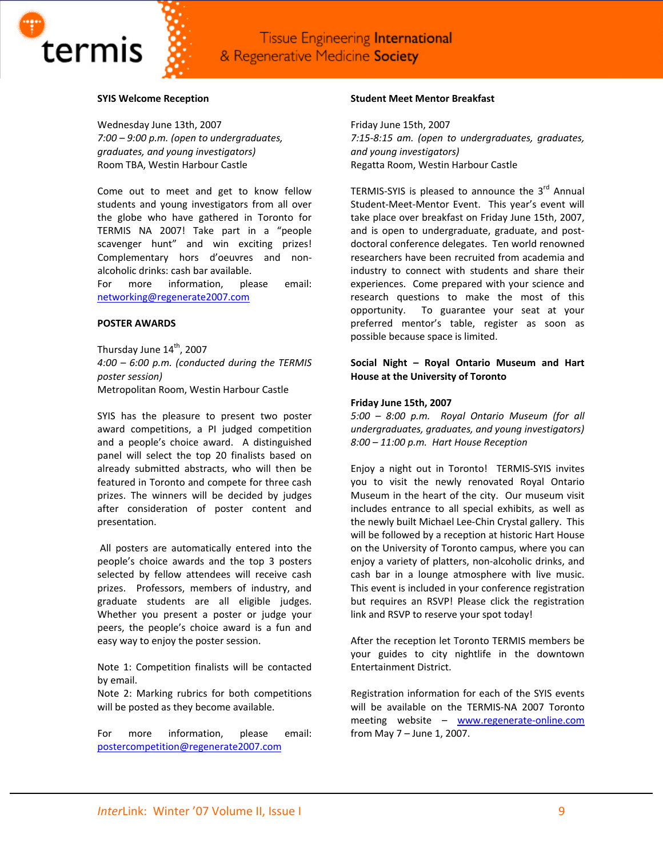



termis

Wednesday June 13th, 2007 *7:00 – 9:00 p.m. (open to undergraduates, graduates, and young investigators)* Room TBA, Westin Harbour Castle

Come out to meet and get to know fellow students and young investigators from all over the globe who have gathered in Toronto for TERMIS NA 2007! Take part in a "people scavenger hunt" and win exciting prizes! Complementary hors d'oeuvres and non‐ alcoholic drinks: cash bar available.

For more information, please email: [networking@regenerate2007.com](mailto:networking@regenerate2007.com)

#### **POSTER AWARDS**

Thursday June 14<sup>th</sup>, 2007 *4:00 – 6:00 p.m. (conducted during the TERMIS poster session)* Metropolitan Room, Westin Harbour Castle

SYIS has the pleasure to present two poster award competitions, a PI judged competition and a people's choice award. A distinguished panel will select the top 20 finalists based on already submitted abstracts, who will then be featured in Toronto and compete for three cash prizes. The winners will be decided by judges after consideration of poster content and presentation.

All posters are automatically entered into the people's choice awards and the top 3 posters selected by fellow attendees will receive cash prizes. Professors, members of industry, and graduate students are all eligible judges. Whether you present a poster or judge your peers, the people's choice award is a fun and easy way to enjoy the poster session.

Note 1: Competition finalists will be contacted by email.

Note 2: Marking rubrics for both competitions will be posted as they become available.

For more information, please email: [postercompetition@regenerate2007.com](mailto:postercompetition@regenerate2007.com)

## **Student Meet Mentor Breakfast**

Friday June 15th, 2007 *7:15‐8:15 am. (open to undergraduates, graduates, and young investigators)* Regatta Room, Westin Harbour Castle

TERMIS-SYIS is pleased to announce the  $3<sup>rd</sup>$  Annual Student-Meet-Mentor Event. This year's event will take place over breakfast on Friday June 15th, 2007, and is open to undergraduate, graduate, and post‐ doctoral conference delegates. Ten world renowned researchers have been recruited from academia and industry to connect with students and share their experiences. Come prepared with your science and research questions to make the most of this opportunity. To guarantee your seat at your preferred mentor's table, register as soon as possible because space is limited.

# **Social Night – Royal Ontario Museum and Hart House at the University of Toronto**

## **Friday June 15th, 2007**

*5:00 – 8:00 p.m. Royal Ontario Museum (for all undergraduates, graduates, and young investigators) 8:00 – 11:00 p.m. Hart House Reception*

Enjoy a night out in Toronto! TERMIS‐SYIS invites you to visit the newly renovated Royal Ontario Museum in the heart of the city. Our museum visit includes entrance to all special exhibits, as well as the newly built Michael Lee‐Chin Crystal gallery. This will be followed by a reception at historic Hart House on the University of Toronto campus, where you can enjoy a variety of platters, non‐alcoholic drinks, and cash bar in a lounge atmosphere with live music. This event is included in your conference registration but requires an RSVP! Please click the registration link and RSVP to reserve your spot today!

After the reception let Toronto TERMIS members be your guides to city nightlife in the downtown Entertainment District.

Registration information for each of the SYIS events will be available on the TERMIS‐NA 2007 Toronto meeting website – [www.regenerate](http://www.regenerate-online.com/)-online.com from May 7 – June 1, 2007.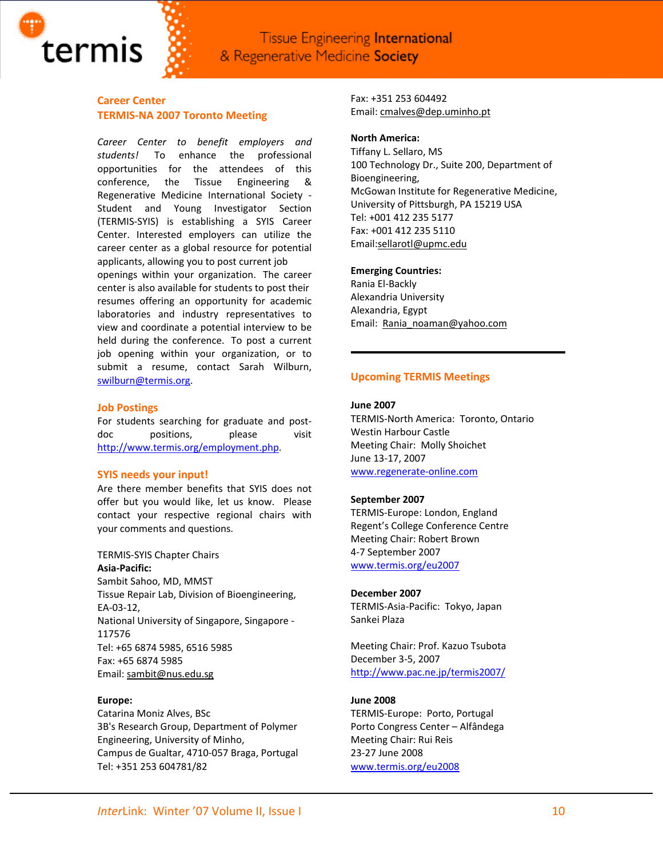

# **Career Center TERMIS‐NA 2007 Toronto Meeting**

*Career Center to benefit employers and students!*  To enhance the professional opportunities for the attendees of this conference, the Tissue Engineering & Regenerative Medicine International Society ‐ Student and Young Investigator Section (TERMIS‐SYIS) is establishing a SYIS Career Center. Interested employers can utilize the career center as a global resource for potential applicants, allowing you to post current job openings within your organization. The career center is also available for students to post their resumes offering an opportunity for academic laboratories and industry representatives to view and coordinate a potential interview to be held during the conference. To post a current job opening within your organization, or to submit a resume, contact Sarah Wilburn, [swilburn@termis.org.](mailto:swilburn@termis.org)

#### **Job Postings**

For students searching for graduate and postdoc positions, please visit [http://www.termis.org/employment.php.](http://www.termis.org/employment.php)

#### **SYIS needs your input!**

Are there member benefits that SYIS does not offer but you would like, let us know. Please contact your respective regional chairs with your comments and questions.

#### TERMIS‐SYIS Chapter Chairs

**Asia‐Pacific:** Sambit Sahoo, MD, MMST Tissue Repair Lab, Division of Bioengineering, EA‐03‐12, National University of Singapore, Singapore ‐ 117576 Tel: +65 6874 5985, 6516 5985 Fax: +65 6874 5985 Email: [sambit@nus.edu.sg](mailto:sambit@nus.edu.sg)

#### **Europe:**

Catarina Moniz Alves, BSc 3B's Research Group, Department of Polymer Engineering, University of Minho, Campus de Gualtar, 4710‐057 Braga, Portugal Tel: +351 253 604781/82

Fax: +351 253 604492 Email: [cmalves@dep.uminho.pt](mailto:cmalves@dep.uminho.pt)

#### **North America:**

Tiffany L. Sellaro, MS 100 Technology Dr., Suite 200, Department of Bioengineering, McGowan Institute for Regenerative Medicine, University of Pittsburgh, PA 15219 USA Tel: +001 412 235 5177 Fax: +001 412 235 5110 Email:sellarotl@upmc.edu

#### **Emerging Countries:**

Rania El‐Backly Alexandria University Alexandria, Egypt Email: [Rania\\_noaman@yahoo.com](mailto:Rania_noaman@yahoo.com)

### **Upcoming TERMIS Meetings**

#### **June 2007**

TERMIS‐North America: Toronto, Ontario Westin Harbour Castle Meeting Chair: Molly Shoichet June 13‐17, 2007 [www.regenerate](http://www.regenerate-online.com/)‐online.com

#### **September 2007**

TERMIS‐Europe: London, England Regent's College Conference Centre Meeting Chair: Robert Brown 4‐7 September 2007 [www.termis.org/eu2007](http://www.termis.org/eu2007)

#### **December 2007**

TERMIS‐Asia‐Pacific: Tokyo, Japan Sankei Plaza

Meeting Chair: Prof. Kazuo Tsubota December 3‐5, 2007 <http://www.pac.ne.jp/termis2007/>

#### **June 2008**

TERMIS‐Europe: Porto, Portugal Porto Congress Center – Alfândega Meeting Chair: Rui Reis 23‐27 June 2008 [www.termis.org/eu2008](http://www.termis.org/eu2008)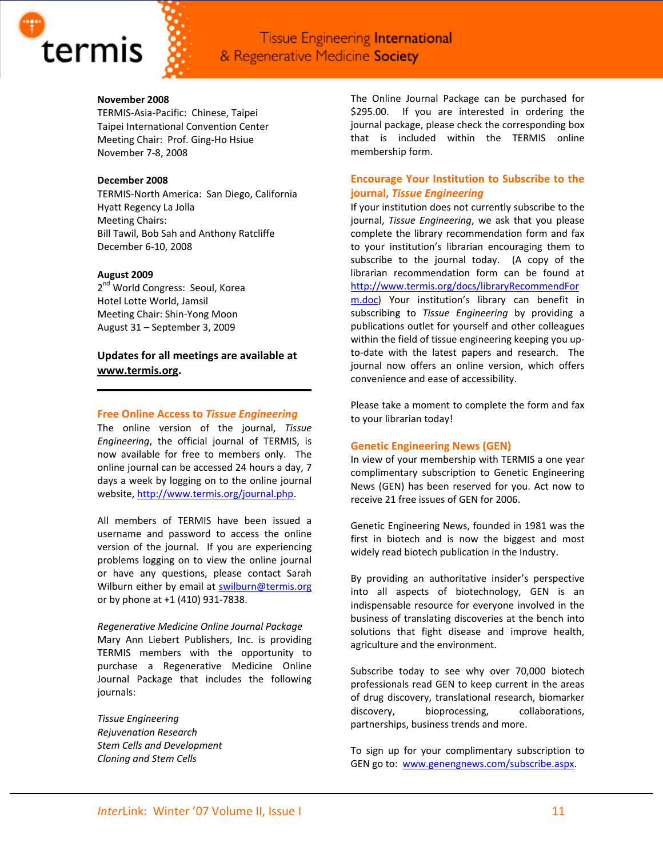

## **November 2008**

TERMIS‐Asia‐Pacific: Chinese, Taipei Taipei International Convention Center Meeting Chair: Prof. Ging‐Ho Hsiue November 7‐8, 2008

## **December 2008**

TERMIS‐North America: San Diego, California Hyatt Regency La Jolla Meeting Chairs: Bill Tawil, Bob Sah and Anthony Ratcliffe December 6‐10, 2008

#### **August 2009**

2<sup>nd</sup> World Congress: Seoul, Korea Hotel Lotte World, Jamsil Meeting Chair: Shin‐Yong Moon August 31 – September 3, 2009

**Updates for all meetings are available at [www.termis.org.](http://www.termis.org/)** 

## **Free Online Access to** *Tissue Engineering*

The online version of the journal, *Tissue Engineering*, the official journal of TERMIS, is now available for free to members only. The online journal can be accessed 24 hours a day, 7 days a week by logging on to the online journal website, <http://www.termis.org/journal.php>.

All members of TERMIS have been issued a username and password to access the online version of the journal. If you are experiencing problems logging on to view the online journal or have any questions, please contact Sarah Wilburn either by email at [swilburn@termis.org](mailto:swilburn@termis.org) or by phone at +1 (410) 931‐7838.

#### *Regenerative Medicine Online Journal Package*

Mary Ann Liebert Publishers, Inc. is providing TERMIS members with the opportunity to purchase a Regenerative Medicine Online Journal Package that includes the following journals:

*Tissue Engineering Rejuvenation Research Stem Cells and Development Cloning and Stem Cells*

The Online Journal Package can be purchased for \$295.00. If you are interested in ordering the journal package, please check the corresponding box that is included within the TERMIS online membership form.

# **Encourage Your Institution to Subscribe to the journal,** *Tissue Engineering*

If your institution does not currently subscribe to the journal, *Tissue Engineering*, we ask that you please complete the library recommendation form and fax to your institution's librarian encouraging them to subscribe to the journal today. (A copy of the librarian recommendation form can be found at [http://www.termis.org/docs/libraryRecommendFor](http://www.termis.org/docs/libraryRecommendForm.doc) [m.doc](http://www.termis.org/docs/libraryRecommendForm.doc)) Your institution's library can benefit in subscribing to *Tissue Engineering* by providing a publications outlet for yourself and other colleagues within the field of tissue engineering keeping you up‐ to‐date with the latest papers and research. The journal now offers an online version, which offers convenience and ease of accessibility.

Please take a moment to complete the form and fax to your librarian today!

# **Genetic Engineering News (GEN)**

In view of your membership with TERMIS a one year complimentary subscription to Genetic Engineering News (GEN) has been reserved for you. Act now to receive 21 free issues of GEN for 2006.

Genetic Engineering News, founded in 1981 was the first in biotech and is now the biggest and most widely read biotech publication in the Industry.

By providing an authoritative insider's perspective into all aspects of biotechnology, GEN is an indispensable resource for everyone involved in the business of translating discoveries at the bench into solutions that fight disease and improve health, agriculture and the environment.

Subscribe today to see why over 70,000 biotech professionals read GEN to keep current in the areas of drug discovery, translational research, biomarker discovery, bioprocessing, collaborations, partnerships, business trends and more.

To sign up for your complimentary subscription to GEN go to: [www.genengnews.com/subscribe.aspx](http://www.genengnews.com/subscribe.aspx).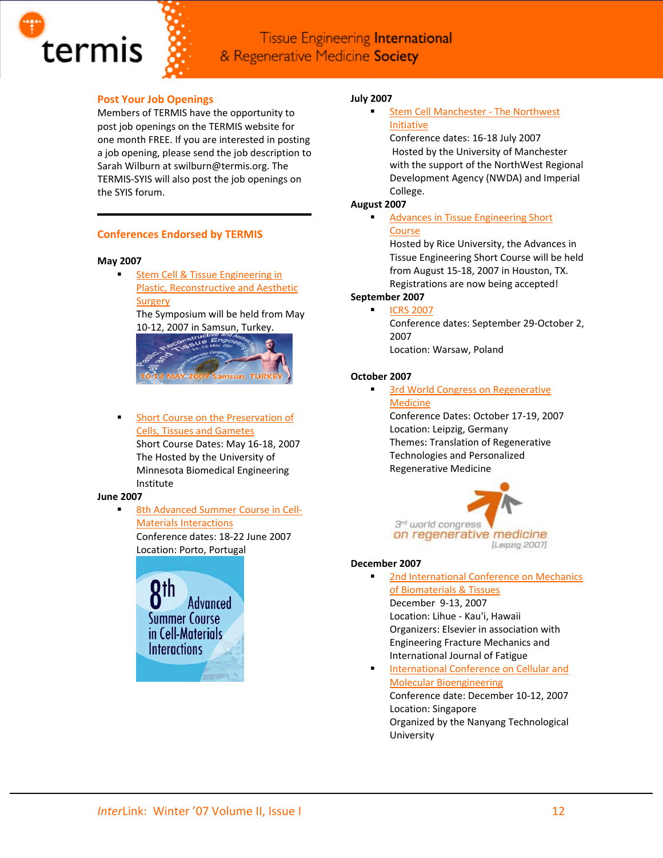

# **Post Your Job Openings**

Members of TERMIS have the opportunity to post job openings on the TERMIS website for one month FREE. If you are interested in posting a job opening, please send the job description to Sarah Wilburn at swilburn@termis.org. The TERMIS‐SYIS will also post the job openings on the SYIS forum.

# **Conferences Endorsed by TERMIS**

### **May 2007**

 Stem Cell & Tissue [Engineering](http://www.stemcell2007.org/en) in Plastic, [Reconstructive](http://www.stemcell2007.org/en) and Aesthetic **[Surgery](http://www.stemcell2007.org/en)** The Symposium will be held from May

10‐12, 2007 in Samsun, Turkey.



**Short Course on the [Preservation](http://www.me.umn.edu/education/shortcourses/preservation) of** Cells, Tissues and [Gametes](http://www.me.umn.edu/education/shortcourses/preservation)

> Short Course Dates: May 16‐18, 2007 The Hosted by the University of Minnesota Biomedical Engineering Institute

# **June 2007**

 8th [Advanced](http://www.8cmi.ineb.up.pt/) Summer Course in Cell‐ Materials [Interactions](http://www.8cmi.ineb.up.pt/)

> Conference dates: 18‐22 June 2007 Location: Porto, Portugal



# **July 2007**

 Stem Cell [Manchester](http://www.stemcellmanchester.co.uk/) ‐ The Northwest [Initiative](http://www.stemcellmanchester.co.uk/)

Conference dates: 16‐18 July 2007 Hosted by the University of Manchester with the support of the NorthWest Regional Development Agency (NWDA) and Imperial College.

# **August 2007**

 Advances in Tissue [Engineering](http://tissue.rice.edu/) Short **[Course](http://tissue.rice.edu/)** 

Hosted by Rice University, the Advances in Tissue Engineering Short Course will be held from August 15‐18, 2007 in Houston, TX. Registrations are now being accepted!

# **September 2007**

 ICRS [2007](http://www.cartilage.org/index.php?pid=34) Conference dates: September 29‐October 2, 2007 Location: Warsaw, Poland

# **October 2007**

3rd World Congress on [Regenerative](http://www.regmed.org/)

[Medicine](http://www.regmed.org/) Conference Dates: October 17‐19, 2007 Location: Leipzig, Germany Themes: Translation of Regenerative Technologies and Personalized Regenerative Medicine



#### **December 2007**

 2nd [International](http://www.icombt.elsevier.com/) Conference on Mechanics of [Biomaterials](http://www.icombt.elsevier.com/) & Tissues

December 9‐13, 2007 Location: Lihue ‐ Kau'i, Hawaii Organizers: Elsevier in association with Engineering Fracture Mechanics and International Journal of Fatigue

 [International](http://www.ntu.edu.sg/iccmb.home.htm) Conference on Cellular and Molecular [Bioengineering](http://www.ntu.edu.sg/iccmb.home.htm)

Conference date: December 10‐12, 2007 Location: Singapore Organized by the Nanyang Technological University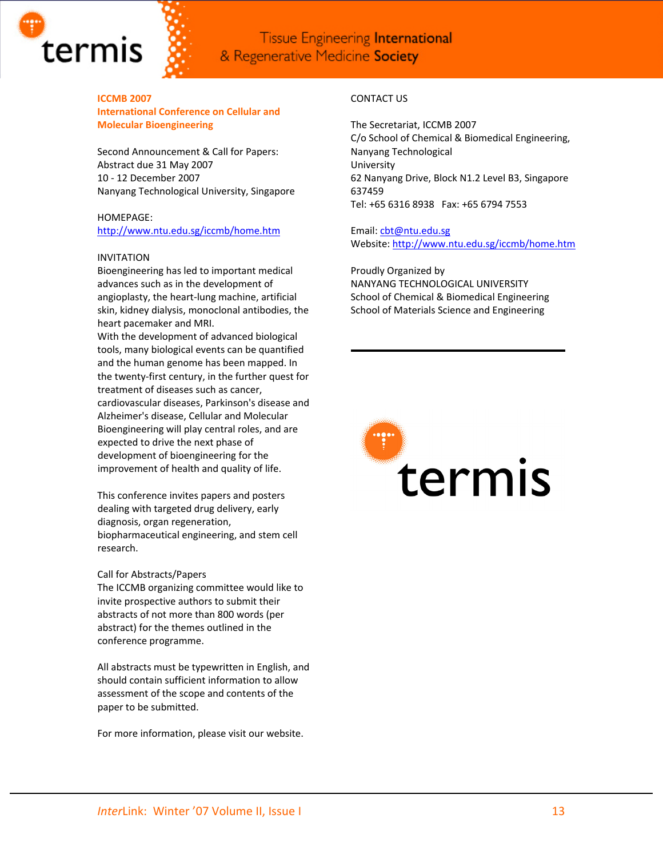

**ICCMB 2007 International Conference on Cellular and Molecular Bioengineering**

Second Announcement & Call for Papers: Abstract due 31 May 2007 10 ‐ 12 December 2007 Nanyang Technological University, Singapore

# HOMEPAGE:

<http://www.ntu.edu.sg/iccmb/home.htm>

#### INVITATION

Bioengineering has led to important medical advances such as in the development of angioplasty, the heart‐lung machine, artificial skin, kidney dialysis, monoclonal antibodies, the heart pacemaker and MRI.

With the development of advanced biological tools, many biological events can be quantified and the human genome has been mapped. In the twenty‐first century, in the further quest for treatment of diseases such as cancer, cardiovascular diseases, Parkinson's disease and Alzheimer's disease, Cellular and Molecular Bioengineering will play central roles, and are expected to drive the next phase of development of bioengineering for the improvement of health and quality of life.

This conference invites papers and posters dealing with targeted drug delivery, early diagnosis, organ regeneration, biopharmaceutical engineering, and stem cell research.

#### Call for Abstracts/Papers

The ICCMB organizing committee would like to invite prospective authors to submit their abstracts of not more than 800 words (per abstract) for the themes outlined in the conference programme.

All abstracts must be typewritten in English, and should contain sufficient information to allow assessment of the scope and contents of the paper to be submitted.

For more information, please visit our website.

# CONTACT US

The Secretariat, ICCMB 2007 C/o School of Chemical & Biomedical Engineering, Nanyang Technological University 62 Nanyang Drive, Block N1.2 Level B3, Singapore 637459 Tel: +65 6316 8938 Fax: +65 6794 7553

Email: [cbt@ntu.edu.sg](https://webmail5.pair.com/src/compose.php?send_to=cbt%40ntu.edu.sg) Website: <http://www.ntu.edu.sg/iccmb/home.htm>

Proudly Organized by NANYANG TECHNOLOGICAL UNIVERSITY School of Chemical & Biomedical Engineering School of Materials Science and Engineering

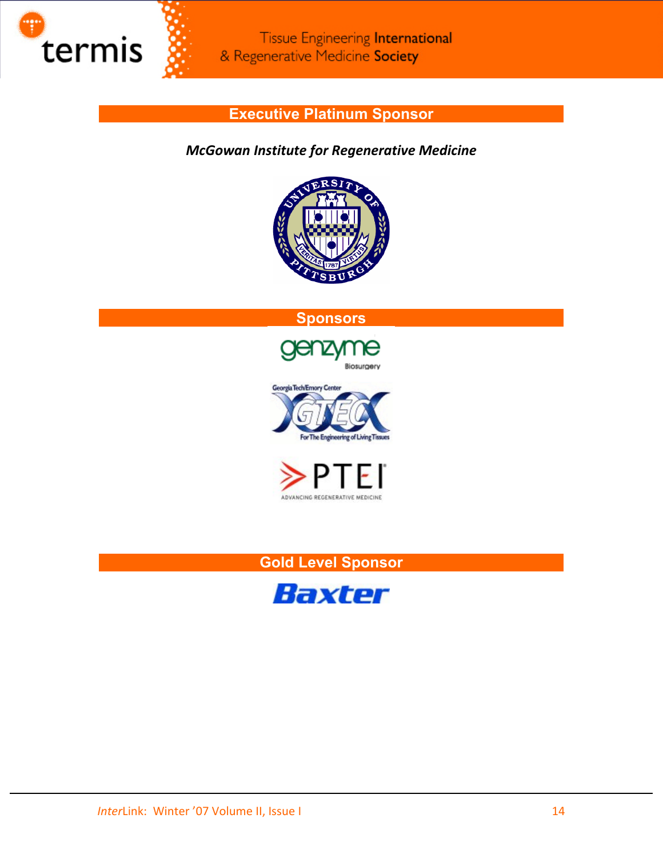

# **Executive Platinum Sponsor**

# *McGowan Institute for Regenerative Medicine*











# **Gold Level Sponsor**

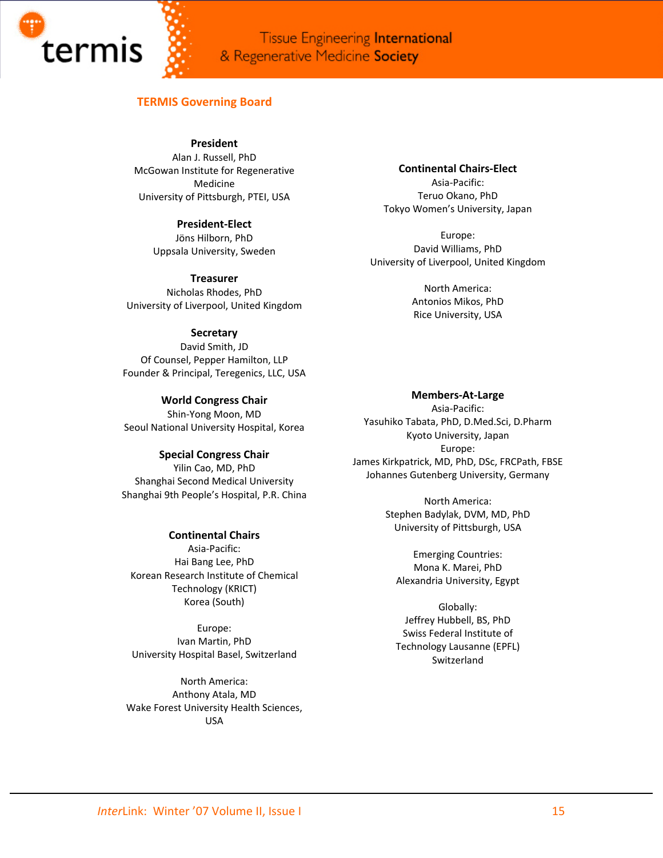

# **TERMIS Governing Board**

**President**

Alan J. Russell, PhD McGowan Institute for Regenerative Medicine University of Pittsburgh, PTEI, USA

> **President‐Elect** Jöns Hilborn, PhD Uppsala University, Sweden

**Treasurer** Nicholas Rhodes, PhD University of Liverpool, United Kingdom

# **Secretary**

David Smith, JD Of Counsel, Pepper Hamilton, LLP Founder & Principal, Teregenics, LLC, USA

**World Congress Chair** Shin‐Yong Moon, MD Seoul National University Hospital, Korea

**Special Congress Chair**

Yilin Cao, MD, PhD Shanghai Second Medical University Shanghai 9th People's Hospital, P.R. China

# **Continental Chairs**

Asia‐Pacific: Hai Bang Lee, PhD Korean Research Institute of Chemical Technology (KRICT) Korea (South)

Europe: Ivan Martin, PhD University Hospital Basel, Switzerland

North America: Anthony Atala, MD Wake Forest University Health Sciences, USA

**Continental Chairs‐Elect** Asia‐Pacific: Teruo Okano, PhD Tokyo Women's University, Japan

Europe: David Williams, PhD University of Liverpool, United Kingdom

> North America: Antonios Mikos, PhD Rice University, USA

**Members‐At‐Large** Asia‐Pacific: Yasuhiko Tabata, PhD, D.Med.Sci, D.Pharm Kyoto University, Japan Europe: James Kirkpatrick, MD, PhD, DSc, FRCPath, FBSE Johannes Gutenberg University, Germany

> North America: Stephen Badylak, DVM, MD, PhD University of Pittsburgh, USA

Emerging Countries: Mona K. Marei, PhD Alexandria University, Egypt

Globally: Jeffrey Hubbell, BS, PhD Swiss Federal Institute of Technology Lausanne (EPFL) Switzerland